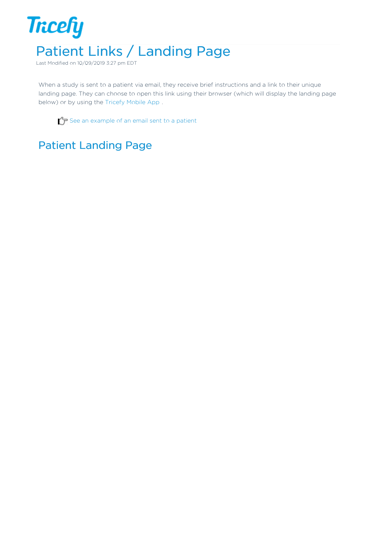

Last Modified on 10/09/2019 3:27 pm EDT

When a study is sent to a patient via email, they receive brief instructions and a link to their unique landing page. They can choose to open this link using their browser (which will display the landing page below) or by using the Tricefy Mobile App .

 $\mathcal{T}$  See an example of an email sent to a patient

## Patient Landing Page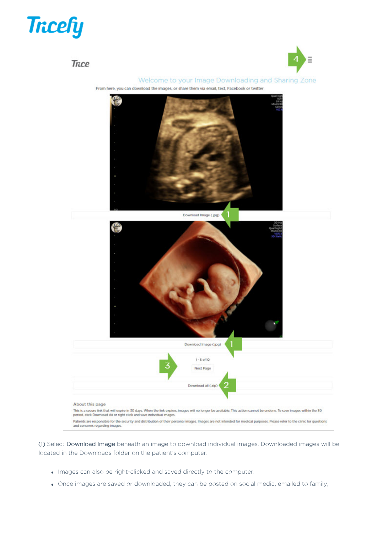## **Tricefy**



(1) Select Download Image beneath an image to download individual images. Downloaded images will be located in the Downloads folder on the patient's computer.

- $\bullet$  Images can also be right-clicked and saved directly to the computer.
- Once images are saved or downloaded, they can be posted on social media, emailed to family,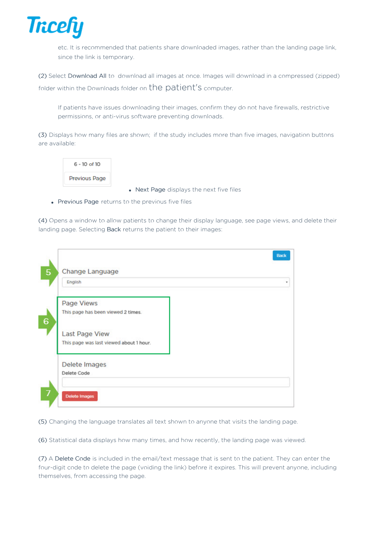

etc. It is recommended that patients share downloaded images, rather than the landing page link, since the link is temporary.

(2) Select Download All to download all images at once. Images will download in a compressed (zipped) folder within the Downloads folder on the patient's computer.

If patients have issues downloading their images, confirm they do not have firewalls, restrictive permissions, or anti-virus software preventing downloads.

(3) Displays how many files are shown; if the study includes more than five images, navigation buttons are available:



• Next Page displays the next five files

• Previous Page returns to the previous five files

(4) Opens a window to allow patients to change their display language, see page views, and delete their landing page. Selecting Back returns the patient to their images:

| Change Language                         |  |
|-----------------------------------------|--|
| English                                 |  |
| Page Views                              |  |
| This page has been viewed 2 times.      |  |
| <b>Last Page View</b>                   |  |
| This page was last viewed about 1 hour. |  |
| Delete Images                           |  |
| Delete Code                             |  |

(5) Changing the language translates all text shown to anyone that visits the landing page.

(6) Statistical data displays how many times, and how recently, the landing page was viewed.

(7) A Delete Code is included in the email/text message that is sent to the patient. They can enter the four-digit code to delete the page (voiding the link) before it expires. This will prevent anyone, including themselves, from accessing the page.